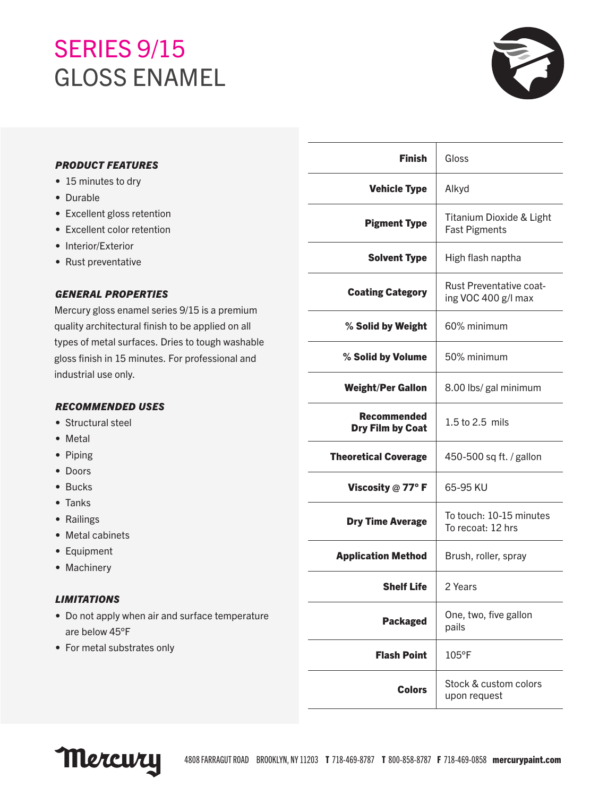# SERIES 9/15 GLOSS ENAMEL



# *PRODUCT FEATURES*

- 15 minutes to dry
- Durable
- Excellent gloss retention
- Excellent color retention
- Interior/Exterior
- Rust preventative

## *GENERAL PROPERTIES*

Mercury gloss enamel series 9/15 is a premium quality architectural finish to be applied on all types of metal surfaces. Dries to tough washable gloss finish in 15 minutes. For professional and industrial use only.

# *RECOMMENDED USES*

- Structural steel
- Metal
- Piping
- Doors
- Bucks
- Tanks
- Railings
- Metal cabinets
- Equipment
- Machinery

# *LIMITATIONS*

- Do not apply when air and surface temperature are below 45°F
- For metal substrates only

| <b>Finish</b>                          | Gloss                                                 |
|----------------------------------------|-------------------------------------------------------|
| <b>Vehicle Type</b>                    | Alkyd                                                 |
| <b>Pigment Type</b>                    | Titanium Dioxide & Light<br><b>Fast Pigments</b>      |
| <b>Solvent Type</b>                    | High flash naptha                                     |
| <b>Coating Category</b>                | <b>Rust Preventative coat-</b><br>ing VOC 400 g/l max |
| % Solid by Weight                      | 60% minimum                                           |
| % Solid by Volume                      | 50% minimum                                           |
| <b>Weight/Per Gallon</b>               | 8.00 lbs/ gal minimum                                 |
| <b>Recommended</b><br>Dry Film by Coat | 1.5 to 2.5 mils                                       |
| <b>Theoretical Coverage</b>            | 450-500 sq ft. / gallon                               |
| Viscosity $@$ 77° F                    | 65-95 KU                                              |
| <b>Dry Time Average</b>                | To touch: 10-15 minutes<br>To recoat: 12 hrs          |
| <b>Application Method</b>              | Brush, roller, spray                                  |
| <b>Shelf Life</b>                      | 2 Years                                               |
| <b>Packaged</b>                        | One, two, five gallon<br>pails                        |
| <b>Flash Point</b>                     | $105^{\circ}$ F                                       |
| <b>Colors</b>                          | Stock & custom colors<br>upon request                 |